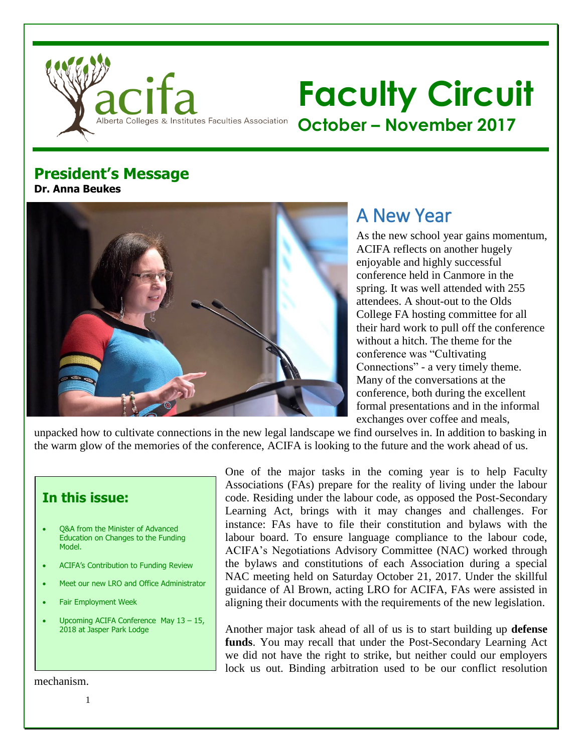

# **Faculty Circuit October – November 2017**

### **President's Message**

**Dr. Anna Beukes**



# A New Year

As the new school year gains momentum, ACIFA reflects on another hugely enjoyable and highly successful conference held in Canmore in the spring. It was well attended with 255 attendees. A shout-out to the Olds College FA hosting committee for all their hard work to pull off the conference without a hitch. The theme for the conference was "Cultivating Connections" - a very timely theme. Many of the conversations at the conference, both during the excellent formal presentations and in the informal exchanges over coffee and meals,

unpacked how to cultivate connections in the new legal landscape we find ourselves in. In addition to basking in the warm glow of the memories of the conference, ACIFA is looking to the future and the work ahead of us.

### **In this issue:**

- Q&A from the Minister of Advanced Education on Changes to the Funding Model.
- ACIFA's Contribution to Funding Review
- Meet our new LRO and Office Administrator
- Fair Employment Week
- Upcoming ACIFA Conference May 13 15, 2018 at Jasper Park Lodge

One of the major tasks in the coming year is to help Faculty Associations (FAs) prepare for the reality of living under the labour code. Residing under the labour code, as opposed the Post-Secondary Learning Act, brings with it may changes and challenges. For instance: FAs have to file their constitution and bylaws with the labour board. To ensure language compliance to the labour code, ACIFA's Negotiations Advisory Committee (NAC) worked through the bylaws and constitutions of each Association during a special NAC meeting held on Saturday October 21, 2017. Under the skillful guidance of Al Brown, acting LRO for ACIFA, FAs were assisted in aligning their documents with the requirements of the new legislation.

Another major task ahead of all of us is to start building up **defense funds**. You may recall that under the Post-Secondary Learning Act we did not have the right to strike, but neither could our employers lock us out. Binding arbitration used to be our conflict resolution

mechanism.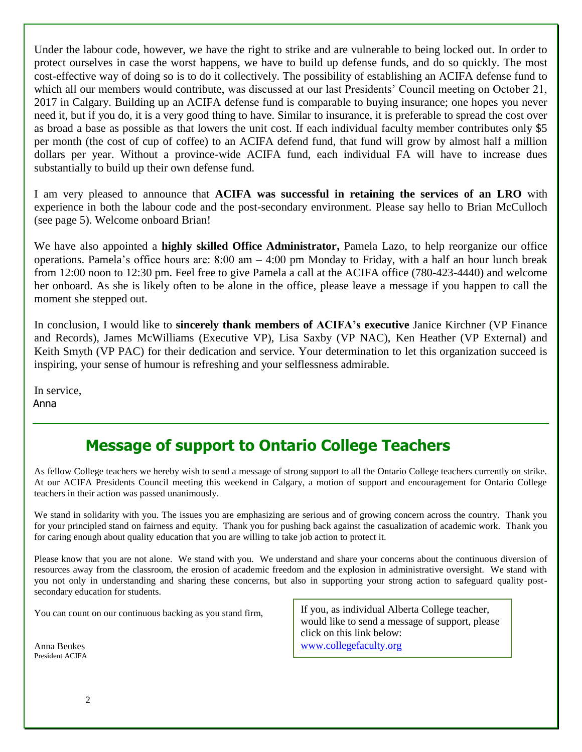Under the labour code, however, we have the right to strike and are vulnerable to being locked out. In order to protect ourselves in case the worst happens, we have to build up defense funds, and do so quickly. The most cost-effective way of doing so is to do it collectively. The possibility of establishing an ACIFA defense fund to which all our members would contribute, was discussed at our last Presidents' Council meeting on October 21, 2017 in Calgary. Building up an ACIFA defense fund is comparable to buying insurance; one hopes you never need it, but if you do, it is a very good thing to have. Similar to insurance, it is preferable to spread the cost over as broad a base as possible as that lowers the unit cost. If each individual faculty member contributes only \$5 per month (the cost of cup of coffee) to an ACIFA defend fund, that fund will grow by almost half a million dollars per year. Without a province-wide ACIFA fund, each individual FA will have to increase dues substantially to build up their own defense fund.

I am very pleased to announce that **ACIFA was successful in retaining the services of an LRO** with experience in both the labour code and the post-secondary environment. Please say hello to Brian McCulloch (see page 5). Welcome onboard Brian!

We have also appointed a **highly skilled Office Administrator,** Pamela Lazo, to help reorganize our office operations. Pamela's office hours are:  $8:00 \text{ am } -4:00 \text{ pm}$  Monday to Friday, with a half an hour lunch break from 12:00 noon to 12:30 pm. Feel free to give Pamela a call at the ACIFA office (780-423-4440) and welcome her onboard. As she is likely often to be alone in the office, please leave a message if you happen to call the moment she stepped out.

In conclusion, I would like to **sincerely thank members of ACIFA's executive** Janice Kirchner (VP Finance and Records), James McWilliams (Executive VP), Lisa Saxby (VP NAC), Ken Heather (VP External) and Keith Smyth (VP PAC) for their dedication and service. Your determination to let this organization succeed is inspiring, your sense of humour is refreshing and your selflessness admirable.

In service, Anna

### **Message of support to Ontario College Teachers**

As fellow College teachers we hereby wish to send a message of strong support to all the Ontario College teachers currently on strike. At our ACIFA Presidents Council meeting this weekend in Calgary, a motion of support and encouragement for Ontario College teachers in their action was passed unanimously.

We stand in solidarity with you. The issues you are emphasizing are serious and of growing concern across the country. Thank you for your principled stand on fairness and equity. Thank you for pushing back against the casualization of academic work. Thank you for caring enough about quality education that you are willing to take job action to protect it.

Please know that you are not alone. We stand with you. We understand and share your concerns about the continuous diversion of resources away from the classroom, the erosion of academic freedom and the explosion in administrative oversight. We stand with you not only in understanding and sharing these concerns, but also in supporting your strong action to safeguard quality postsecondary education for students.

You can count on our continuous backing as you stand firm,

If you, as individual Alberta College teacher, would like to send a message of support, please click on this link below: [www.collegefaculty.org](http://www.collegefaculty.org/)

Anna Beukes President ACIFA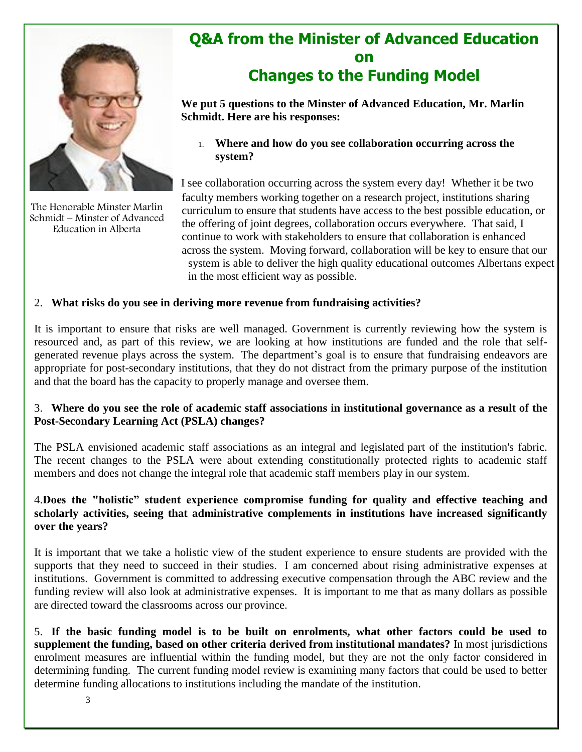

# **Q&A from the Minister of Advanced Education on Changes to the Funding Model**

**We put 5 questions to the Minster of Advanced Education, Mr. Marlin Schmidt. Here are his responses:**

1. **Where and how do you see collaboration occurring across the system?**

I see collaboration occurring across the system every day! Whether it be two faculty members working together on a research project, institutions sharing curriculum to ensure that students have access to the best possible education, or the offering of joint degrees, collaboration occurs everywhere. That said, I continue to work with stakeholders to ensure that collaboration is enhanced across the system. Moving forward, collaboration will be key to ensure that our system is able to deliver the high quality educational outcomes Albertans expect in the most efficient way as possible.

#### 2. **What risks do you see in deriving more revenue from fundraising activities?**

It is important to ensure that risks are well managed. Government is currently reviewing how the system is resourced and, as part of this review, we are looking at how institutions are funded and the role that selfgenerated revenue plays across the system. The department's goal is to ensure that fundraising endeavors are appropriate for post-secondary institutions, that they do not distract from the primary purpose of the institution and that the board has the capacity to properly manage and oversee them.

#### 3. **Where do you see the role of academic staff associations in institutional governance as a result of the Post-Secondary Learning Act (PSLA) changes?**

The PSLA envisioned academic staff associations as an integral and legislated part of the institution's fabric. The recent changes to the PSLA were about extending constitutionally protected rights to academic staff members and does not change the integral role that academic staff members play in our system.

#### 4.**Does the "holistic" student experience compromise funding for quality and effective teaching and scholarly activities, seeing that administrative complements in institutions have increased significantly over the years?**

It is important that we take a holistic view of the student experience to ensure students are provided with the supports that they need to succeed in their studies. I am concerned about rising administrative expenses at institutions. Government is committed to addressing executive compensation through the ABC review and the funding review will also look at administrative expenses. It is important to me that as many dollars as possible are directed toward the classrooms across our province.

5. **If the basic funding model is to be built on enrolments, what other factors could be used to supplement the funding, based on other criteria derived from institutional mandates?** In most jurisdictions enrolment measures are influential within the funding model, but they are not the only factor considered in determining funding. The current funding model review is examining many factors that could be used to better determine funding allocations to institutions including the mandate of the institution.

The Honorable Minster Marlin Schmidt – Minster of Advanced Education in Alberta

3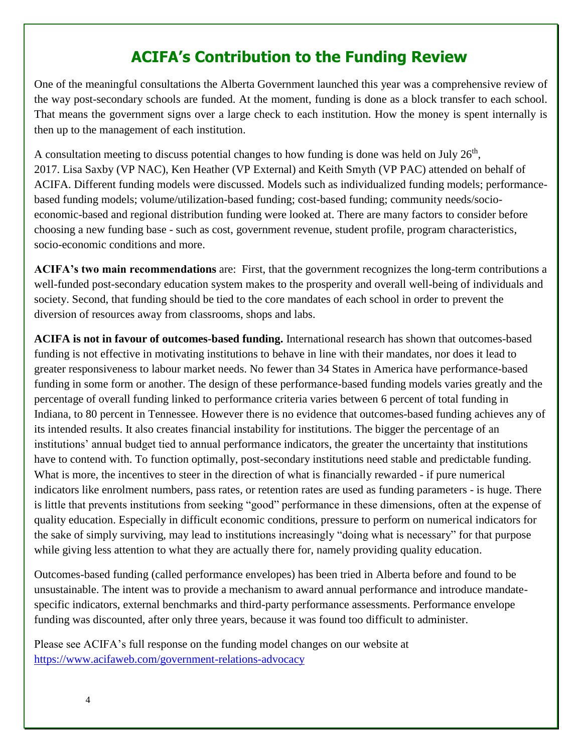# **ACIFA's Contribution to the Funding Review**

One of the meaningful consultations the Alberta Government launched this year was a comprehensive review of the way post-secondary schools are funded. At the moment, funding is done as a block transfer to each school. That means the government signs over a large check to each institution. How the money is spent internally is then up to the management of each institution.

A consultation meeting to discuss potential changes to how funding is done was held on July  $26<sup>th</sup>$ , 2017. Lisa Saxby (VP NAC), Ken Heather (VP External) and Keith Smyth (VP PAC) attended on behalf of ACIFA. Different funding models were discussed. Models such as individualized funding models; performancebased funding models; volume/utilization-based funding; cost-based funding; community needs/socioeconomic-based and regional distribution funding were looked at. There are many factors to consider before choosing a new funding base - such as cost, government revenue, student profile, program characteristics, socio-economic conditions and more.

**ACIFA's two main recommendations** are: First, that the government recognizes the long-term contributions a well-funded post-secondary education system makes to the prosperity and overall well-being of individuals and society. Second, that funding should be tied to the core mandates of each school in order to prevent the diversion of resources away from classrooms, shops and labs.

**ACIFA is not in favour of outcomes-based funding.** International research has shown that outcomes-based funding is not effective in motivating institutions to behave in line with their mandates, nor does it lead to greater responsiveness to labour market needs. No fewer than 34 States in America have performance-based funding in some form or another. The design of these performance-based funding models varies greatly and the percentage of overall funding linked to performance criteria varies between 6 percent of total funding in Indiana, to 80 percent in Tennessee. However there is no evidence that outcomes-based funding achieves any of its intended results. It also creates financial instability for institutions. The bigger the percentage of an institutions' annual budget tied to annual performance indicators, the greater the uncertainty that institutions have to contend with. To function optimally, post-secondary institutions need stable and predictable funding. What is more, the incentives to steer in the direction of what is financially rewarded - if pure numerical indicators like enrolment numbers, pass rates, or retention rates are used as funding parameters - is huge. There is little that prevents institutions from seeking "good" performance in these dimensions, often at the expense of quality education. Especially in difficult economic conditions, pressure to perform on numerical indicators for the sake of simply surviving, may lead to institutions increasingly "doing what is necessary" for that purpose while giving less attention to what they are actually there for, namely providing quality education.

Outcomes-based funding (called performance envelopes) has been tried in Alberta before and found to be unsustainable. The intent was to provide a mechanism to award annual performance and introduce mandatespecific indicators, external benchmarks and third-party performance assessments. Performance envelope funding was discounted, after only three years, because it was found too difficult to administer.

Please see ACIFA's full response on the funding model changes on our website at <https://www.acifaweb.com/government-relations-advocacy>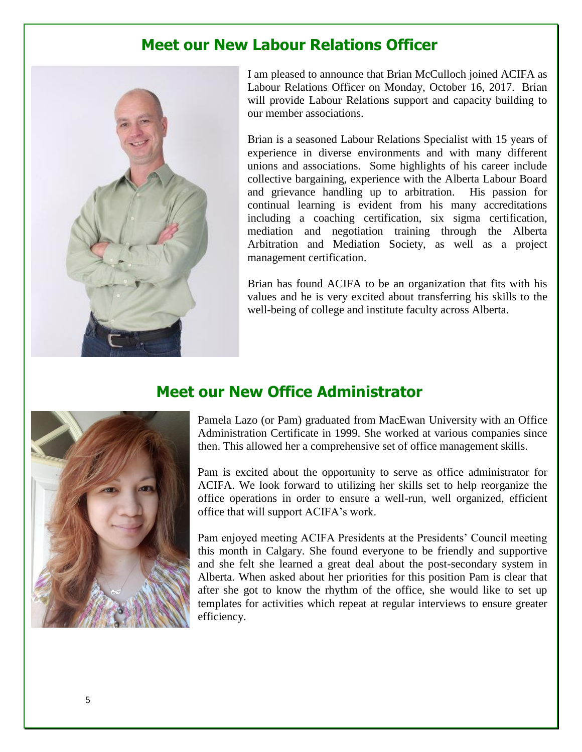### **Meet our New Labour Relations Officer**



I am pleased to announce that Brian McCulloch joined ACIFA as Labour Relations Officer on Monday, October 16, 2017. Brian will provide Labour Relations support and capacity building to our member associations.

Brian is a seasoned Labour Relations Specialist with 15 years of experience in diverse environments and with many different unions and associations. Some highlights of his career include collective bargaining, experience with the Alberta Labour Board and grievance handling up to arbitration. His passion for continual learning is evident from his many accreditations including a coaching certification, six sigma certification, mediation and negotiation training through the Alberta Arbitration and Mediation Society, as well as a project management certification.

Brian has found ACIFA to be an organization that fits with his values and he is very excited about transferring his skills to the well-being of college and institute faculty across Alberta.

### **Meet our New Office Administrator**



Pamela Lazo (or Pam) graduated from MacEwan University with an Office Administration Certificate in 1999. She worked at various companies since then. This allowed her a comprehensive set of office management skills.

Pam is excited about the opportunity to serve as office administrator for ACIFA. We look forward to utilizing her skills set to help reorganize the office operations in order to ensure a well-run, well organized, efficient office that will support ACIFA's work.

Pam enjoyed meeting ACIFA Presidents at the Presidents' Council meeting this month in Calgary. She found everyone to be friendly and supportive and she felt she learned a great deal about the post-secondary system in Alberta. When asked about her priorities for this position Pam is clear that after she got to know the rhythm of the office, she would like to set up templates for activities which repeat at regular interviews to ensure greater efficiency.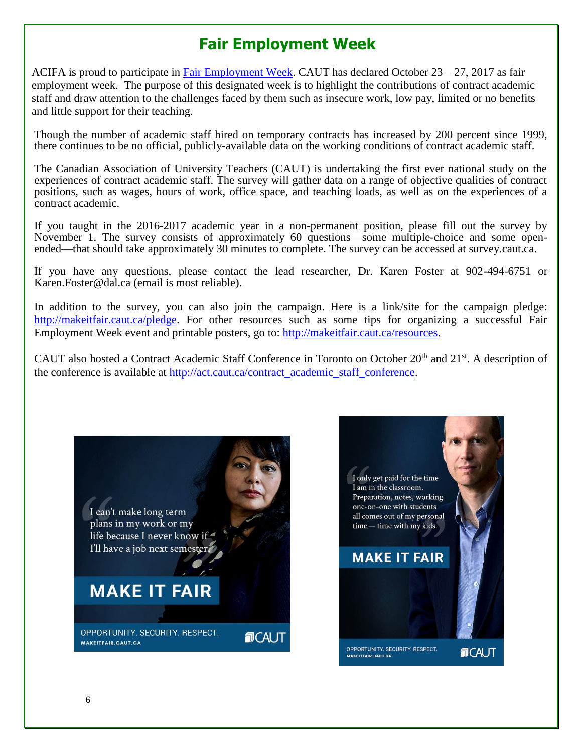### **Fair Employment Week**

ACIFA is proud to participate in [Fair Employment Week.](https://www.acifaweb.com/fair-employment-week) CAUT has declared October 23 – 27, 2017 as fair employment week. The purpose of this designated week is to highlight the contributions of contract academic staff and draw attention to the challenges faced by them such as insecure work, low pay, limited or no benefits and little support for their teaching.

Though the number of academic staff hired on temporary contracts has increased by 200 percent since 1999, there continues to be no official, publicly-available data on the working conditions of contract academic staff.

The Canadian Association of University Teachers (CAUT) is undertaking the first ever national study on the experiences of contract academic staff. The survey will gather data on a range of objective qualities of contract positions, such as wages, hours of work, office space, and teaching loads, as well as on the experiences of a contract academic.

If you taught in the 2016-2017 academic year in a non-permanent position, please fill out the survey by November 1. The survey consists of approximately 60 questions—some multiple-choice and some openended—that should take approximately 30 minutes to complete. The survey can be accessed at survey caut.ca.

If you have any questions, please contact the lead researcher, Dr. Karen Foster at 902-494-6751 or [Karen.Foster@dal.ca](mailto:Karen.Foster@dal.ca) (email is most reliable).

In addition to the survey, you can also join the campaign. Here is a link/site for the campaign pledge: [http://makeitfair.caut.ca/pledge.](http://makeitfair.caut.ca/pledge) For other resources such as some tips for organizing a successful Fair Employment Week event and printable posters, go to: [http://makeitfair.caut.ca/resources.](http://makeitfair.caut.ca/resources)

CAUT also hosted a Contract Academic Staff Conference in Toronto on October 20<sup>th</sup> and 21<sup>st</sup>. A description of the conference is available at [http://act.caut.ca/contract\\_academic\\_staff\\_conference.](http://act.caut.ca/contract_academic_staff_conference)